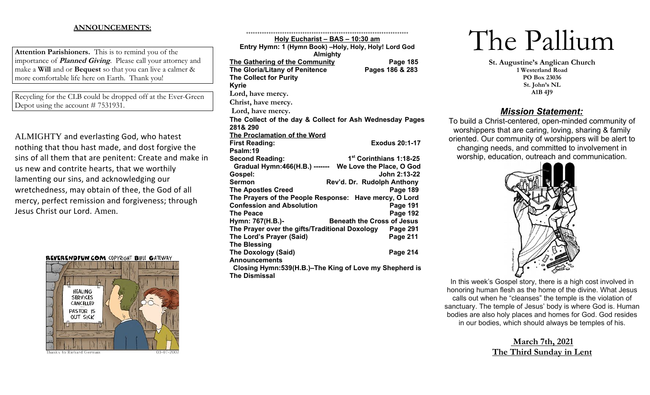## **ANNOUNCEMENTS:**

**Attention Parishioners.** This is to remind you of the importance of **Planned Giving**. Please call your attorney and make a **Will** and or **Bequest** so that you can live a calmer & more comfortable life here on Earth. Thank you!

Recycling for the CLB could be dropped off at the Ever-Green Depot using the account # 7531931.

ALMIGHTY and everlasting God, who hatest nothing that thou hast made, and dost forgive the sins of all them that are penitent: Create and make in us new and contrite hearts, that we worthily lamenting our sins, and acknowledging our wretchedness, may obtain of thee, the God of all mercy, perfect remission and forgiveness; through Jesus Christ our Lord. Amen.

**REVERENDFUN.COM COPYRIGHT BIBLE GATEWAY** 



| Holy Eucharist - BAS - 10:30 am                          |                                     |  |
|----------------------------------------------------------|-------------------------------------|--|
| Entry Hymn: 1 (Hymn Book) -Holy, Holy, Holy! Lord God    |                                     |  |
| <b>Almighty</b>                                          |                                     |  |
| The Gathering of the Community                           | Page 185                            |  |
| The Gloria/Litany of Penitence                           | Pages 186 & 283                     |  |
| <b>The Collect for Purity</b>                            |                                     |  |
| <b>Kyrie</b>                                             |                                     |  |
| Lord, have mercy.                                        |                                     |  |
| Christ, have mercy.                                      |                                     |  |
| Lord, have mercy.                                        |                                     |  |
| The Collect of the day & Collect for Ash Wednesday Pages |                                     |  |
| 281& 290                                                 |                                     |  |
| The Proclamation of the Word                             |                                     |  |
| <b>First Reading:</b>                                    | <b>Exodus 20:1-17</b>               |  |
| Psalm:19                                                 |                                     |  |
| <b>Second Reading:</b>                                   | 1 <sup>st</sup> Corinthians 1:18-25 |  |
| Gradual Hymn:466(H.B.) ------- We Love the Place, O God  |                                     |  |
| Gospel:                                                  | John 2:13-22                        |  |
| <b>Sermon</b>                                            | Rev'd. Dr. Rudolph Anthony          |  |
| <b>The Apostles Creed</b>                                | Page 189                            |  |
| The Prayers of the People Response: Have mercy, O Lord   |                                     |  |
| <b>Confession and Absolution</b>                         | <b>Page 191</b>                     |  |
| <b>The Peace</b>                                         | <b>Page 192</b>                     |  |
| Hymn: 767(H.B.)-                                         | <b>Beneath the Cross of Jesus</b>   |  |
| The Prayer over the gifts/Traditional Doxology Page 291  |                                     |  |
| The Lord's Prayer (Said)                                 | <b>Page 211</b>                     |  |
| <b>The Blessing</b>                                      |                                     |  |
| <b>The Doxology (Said)</b>                               | Page 214                            |  |
| <b>Announcements</b>                                     |                                     |  |
| Closing Hymn: 539 (H.B.)-The King of Love my Shepherd is |                                     |  |
| <b>The Dismissal</b>                                     |                                     |  |

++++++++++++++++++++++++++++++++++++++++++++++++++++++++++++++++++++++++

# The Pallium

**St. Augustine's Anglican Church 1 Westerland Road PO Box 23036 St. John's NL A1B 4J9**

## *Mission Statement:*

To build a Christ-centered, open-minded community of worshippers that are caring, loving, sharing & family oriented. Our community of worshippers will be alert to changing needs, and committed to involvement in worship, education, outreach and communication.



In this week's Gospel story, there is a high cost involved in honoring human flesh as the home of the divine. What Jesus calls out when he "cleanses" the temple is the violation of sanctuary. The temple of Jesus' body is where God is. Human bodies are also holy places and homes for God. God resides in our bodies, which should always be temples of his.

> **March 7th, 2021 The Third Sunday in Lent**